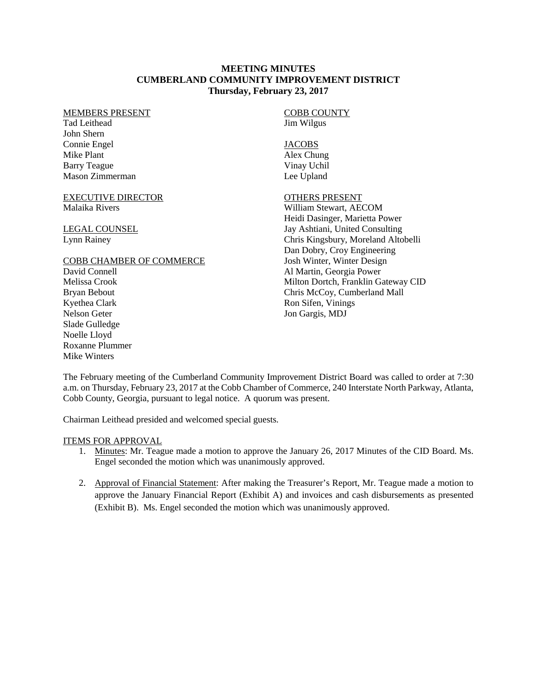## **MEETING MINUTES CUMBERLAND COMMUNITY IMPROVEMENT DISTRICT Thursday, February 23, 2017**

#### MEMBERS PRESENT

Tad Leithead John Shern Connie Engel Mike Plant Barry Teague Mason Zimmerman

### EXECUTIVE DIRECTOR Malaika Rivers

LEGAL COUNSEL Lynn Rainey

## COBB CHAMBER OF COMMERCE

David Connell Melissa Crook Bryan Bebout Kyethea Clark Nelson Geter Slade Gulledge Noelle Lloyd Roxanne Plummer Mike Winters

#### COBB COUNTY Jim Wilgus

**JACOBS** 

Alex Chung Vinay Uchil Lee Upland

# OTHERS PRESENT

William Stewart, AECOM Heidi Dasinger, Marietta Power Jay Ashtiani, United Consulting Chris Kingsbury, Moreland Altobelli Dan Dobry, Croy Engineering Josh Winter, Winter Design Al Martin, Georgia Power Milton Dortch, Franklin Gateway CID Chris McCoy, Cumberland Mall Ron Sifen, Vinings Jon Gargis, MDJ

The February meeting of the Cumberland Community Improvement District Board was called to order at 7:30 a.m. on Thursday, February 23, 2017 at the Cobb Chamber of Commerce, 240 Interstate North Parkway, Atlanta, Cobb County, Georgia, pursuant to legal notice. A quorum was present.

Chairman Leithead presided and welcomed special guests.

# ITEMS FOR APPROVAL

- 1. Minutes: Mr. Teague made a motion to approve the January 26, 2017 Minutes of the CID Board. Ms. Engel seconded the motion which was unanimously approved.
- 2. Approval of Financial Statement: After making the Treasurer's Report, Mr. Teague made a motion to approve the January Financial Report (Exhibit A) and invoices and cash disbursements as presented (Exhibit B). Ms. Engel seconded the motion which was unanimously approved.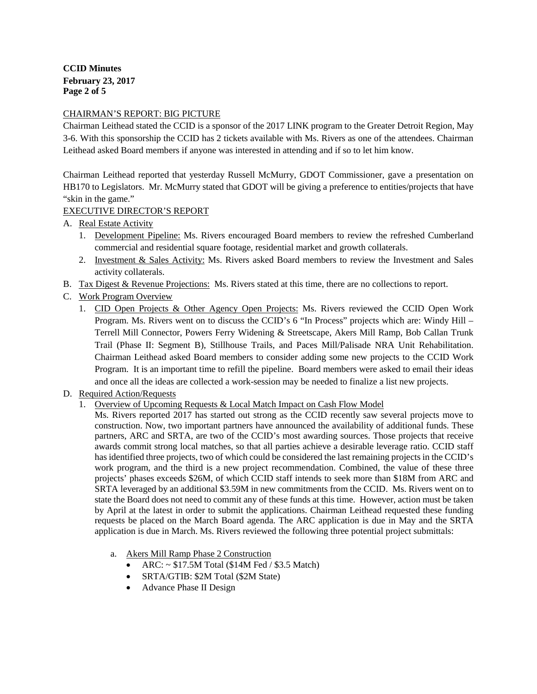**CCID Minutes February 23, 2017 Page 2 of 5**

## CHAIRMAN'S REPORT: BIG PICTURE

Chairman Leithead stated the CCID is a sponsor of the 2017 LINK program to the Greater Detroit Region, May 3-6. With this sponsorship the CCID has 2 tickets available with Ms. Rivers as one of the attendees. Chairman Leithead asked Board members if anyone was interested in attending and if so to let him know.

Chairman Leithead reported that yesterday Russell McMurry, GDOT Commissioner, gave a presentation on HB170 to Legislators. Mr. McMurry stated that GDOT will be giving a preference to entities/projects that have "skin in the game."

# EXECUTIVE DIRECTOR'S REPORT

- A. Real Estate Activity
	- 1. Development Pipeline: Ms. Rivers encouraged Board members to review the refreshed Cumberland commercial and residential square footage, residential market and growth collaterals.
	- 2. Investment & Sales Activity: Ms. Rivers asked Board members to review the Investment and Sales activity collaterals.
- B. Tax Digest & Revenue Projections: Ms. Rivers stated at this time, there are no collections to report.
- C. Work Program Overview
	- 1. CID Open Projects & Other Agency Open Projects: Ms. Rivers reviewed the CCID Open Work Program. Ms. Rivers went on to discuss the CCID's 6 "In Process" projects which are: Windy Hill – Terrell Mill Connector, Powers Ferry Widening & Streetscape, Akers Mill Ramp, Bob Callan Trunk Trail (Phase II: Segment B), Stillhouse Trails, and Paces Mill/Palisade NRA Unit Rehabilitation. Chairman Leithead asked Board members to consider adding some new projects to the CCID Work Program. It is an important time to refill the pipeline. Board members were asked to email their ideas and once all the ideas are collected a work-session may be needed to finalize a list new projects.
- D. Required Action/Requests
	- 1. Overview of Upcoming Requests & Local Match Impact on Cash Flow Model

Ms. Rivers reported 2017 has started out strong as the CCID recently saw several projects move to construction. Now, two important partners have announced the availability of additional funds. These partners, ARC and SRTA, are two of the CCID's most awarding sources. Those projects that receive awards commit strong local matches, so that all parties achieve a desirable leverage ratio. CCID staff has identified three projects, two of which could be considered the last remaining projects in the CCID's work program, and the third is a new project recommendation. Combined, the value of these three projects' phases exceeds \$26M, of which CCID staff intends to seek more than \$18M from ARC and SRTA leveraged by an additional \$3.59M in new commitments from the CCID. Ms. Rivers went on to state the Board does not need to commit any of these funds at this time. However, action must be taken by April at the latest in order to submit the applications. Chairman Leithead requested these funding requests be placed on the March Board agenda. The ARC application is due in May and the SRTA application is due in March. Ms. Rivers reviewed the following three potential project submittals:

- a. Akers Mill Ramp Phase 2 Construction
	- ARC:  $\sim$  \$17.5M Total (\$14M Fed / \$3.5 Match)
	- SRTA/GTIB: \$2M Total (\$2M State)
	- Advance Phase II Design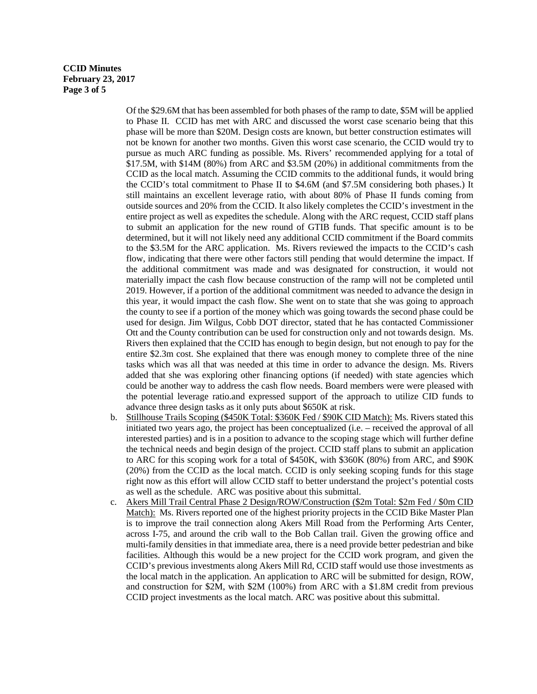### **CCID Minutes February 23, 2017 Page 3 of 5**

Of the \$29.6M that has been assembled for both phases of the ramp to date, \$5M will be applied to Phase II. CCID has met with ARC and discussed the worst case scenario being that this phase will be more than \$20M. Design costs are known, but better construction estimates will not be known for another two months. Given this worst case scenario, the CCID would try to pursue as much ARC funding as possible. Ms. Rivers' recommended applying for a total of \$17.5M, with \$14M (80%) from ARC and \$3.5M (20%) in additional commitments from the CCID as the local match. Assuming the CCID commits to the additional funds, it would bring the CCID's total commitment to Phase II to \$4.6M (and \$7.5M considering both phases.) It still maintains an excellent leverage ratio, with about 80% of Phase II funds coming from outside sources and 20% from the CCID. It also likely completes the CCID's investment in the entire project as well as expedites the schedule. Along with the ARC request, CCID staff plans to submit an application for the new round of GTIB funds. That specific amount is to be determined, but it will not likely need any additional CCID commitment if the Board commits to the \$3.5M for the ARC application. Ms. Rivers reviewed the impacts to the CCID's cash flow, indicating that there were other factors still pending that would determine the impact. If the additional commitment was made and was designated for construction, it would not materially impact the cash flow because construction of the ramp will not be completed until 2019. However, if a portion of the additional commitment was needed to advance the design in this year, it would impact the cash flow. She went on to state that she was going to approach the county to see if a portion of the money which was going towards the second phase could be used for design. Jim Wilgus, Cobb DOT director, stated that he has contacted Commissioner Ott and the County contribution can be used for construction only and not towards design. Ms. Rivers then explained that the CCID has enough to begin design, but not enough to pay for the entire \$2.3m cost. She explained that there was enough money to complete three of the nine tasks which was all that was needed at this time in order to advance the design. Ms. Rivers added that she was exploring other financing options (if needed) with state agencies which could be another way to address the cash flow needs. Board members were were pleased with the potential leverage ratio.and expressed support of the approach to utilize CID funds to advance three design tasks as it only puts about \$650K at risk.

- b. Stillhouse Trails Scoping (\$450K Total: \$360K Fed / \$90K CID Match): Ms. Rivers stated this initiated two years ago, the project has been conceptualized (i.e. – received the approval of all interested parties) and is in a position to advance to the scoping stage which will further define the technical needs and begin design of the project. CCID staff plans to submit an application to ARC for this scoping work for a total of \$450K, with \$360K (80%) from ARC, and \$90K (20%) from the CCID as the local match. CCID is only seeking scoping funds for this stage right now as this effort will allow CCID staff to better understand the project's potential costs as well as the schedule. ARC was positive about this submittal.
- c. Akers Mill Trail Central Phase 2 Design/ROW/Construction (\$2m Total: \$2m Fed / \$0m CID Match): Ms. Rivers reported one of the highest priority projects in the CCID Bike Master Plan is to improve the trail connection along Akers Mill Road from the Performing Arts Center, across I-75, and around the crib wall to the Bob Callan trail. Given the growing office and multi-family densities in that immediate area, there is a need provide better pedestrian and bike facilities. Although this would be a new project for the CCID work program, and given the CCID's previous investments along Akers Mill Rd, CCID staff would use those investments as the local match in the application. An application to ARC will be submitted for design, ROW, and construction for \$2M, with \$2M (100%) from ARC with a \$1.8M credit from previous CCID project investments as the local match. ARC was positive about this submittal.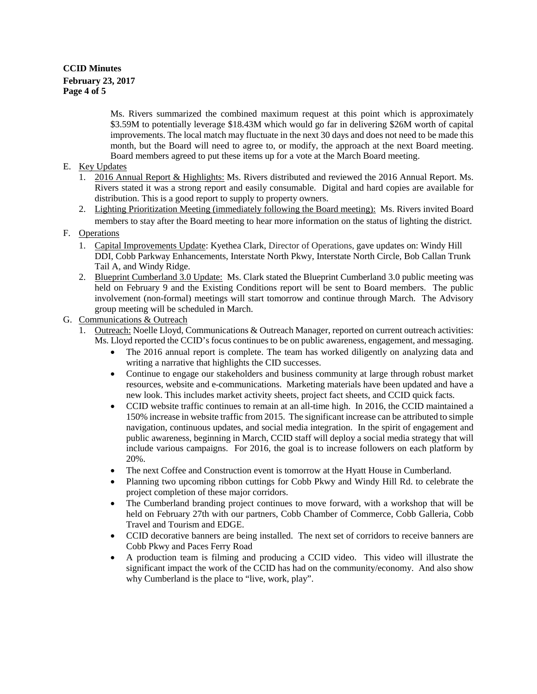# **CCID Minutes February 23, 2017 Page 4 of 5**

Ms. Rivers summarized the combined maximum request at this point which is approximately \$3.59M to potentially leverage \$18.43M which would go far in delivering \$26M worth of capital improvements. The local match may fluctuate in the next 30 days and does not need to be made this month, but the Board will need to agree to, or modify, the approach at the next Board meeting. Board members agreed to put these items up for a vote at the March Board meeting.

# E. Key Updates

- 1. 2016 Annual Report & Highlights: Ms. Rivers distributed and reviewed the 2016 Annual Report. Ms. Rivers stated it was a strong report and easily consumable. Digital and hard copies are available for distribution. This is a good report to supply to property owners.
- 2. Lighting Prioritization Meeting (immediately following the Board meeting): Ms. Rivers invited Board members to stay after the Board meeting to hear more information on the status of lighting the district.

# F. Operations

- 1. Capital Improvements Update: Kyethea Clark, Director of Operations, gave updates on: Windy Hill DDI, Cobb Parkway Enhancements, Interstate North Pkwy, Interstate North Circle, Bob Callan Trunk Tail A, and Windy Ridge.
- 2. Blueprint Cumberland 3.0 Update: Ms. Clark stated the Blueprint Cumberland 3.0 public meeting was held on February 9 and the Existing Conditions report will be sent to Board members. The public involvement (non-formal) meetings will start tomorrow and continue through March. The Advisory group meeting will be scheduled in March.

# G. Communications & Outreach

- 1. Outreach: Noelle Lloyd, Communications & Outreach Manager, reported on current outreach activities: Ms. Lloyd reported the CCID's focus continues to be on public awareness, engagement, and messaging.
	- The 2016 annual report is complete. The team has worked diligently on analyzing data and writing a narrative that highlights the CID successes.
	- Continue to engage our stakeholders and business community at large through robust market resources, website and e-communications. Marketing materials have been updated and have a new look. This includes market activity sheets, project fact sheets, and CCID quick facts.
	- CCID website traffic continues to remain at an all-time high. In 2016, the CCID maintained a 150% increase in website traffic from 2015. The significant increase can be attributed to simple navigation, continuous updates, and social media integration. In the spirit of engagement and public awareness, beginning in March, CCID staff will deploy a social media strategy that will include various campaigns. For 2016, the goal is to increase followers on each platform by 20%.
	- The next Coffee and Construction event is tomorrow at the Hyatt House in Cumberland.
	- Planning two upcoming ribbon cuttings for Cobb Pkwy and Windy Hill Rd. to celebrate the project completion of these major corridors.
	- The Cumberland branding project continues to move forward, with a workshop that will be held on February 27th with our partners, Cobb Chamber of Commerce, Cobb Galleria, Cobb Travel and Tourism and EDGE.
	- CCID decorative banners are being installed. The next set of corridors to receive banners are Cobb Pkwy and Paces Ferry Road
	- A production team is filming and producing a CCID video. This video will illustrate the significant impact the work of the CCID has had on the community/economy. And also show why Cumberland is the place to "live, work, play".